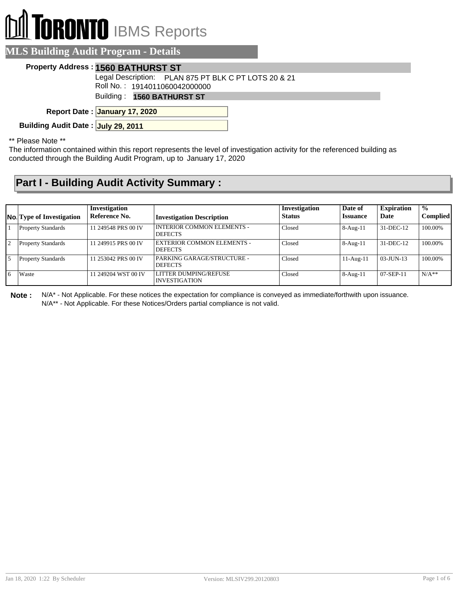# **TORONTO** IBMS Reports

|  | <b>MLS Building Audit Program - Details</b> |  |
|--|---------------------------------------------|--|
|  |                                             |  |

#### **Property Address : 1560 BATHURST ST**

Legal Description: PLAN 875 PT BLK C PT LOTS 20 & 21

Roll No. : 1914011060042000000

Building : **1560 BATHURST ST**

**January 17, 2020 Report Date :**

**Building Audit Date : July 29, 2011**

\*\* Please Note \*\*

The information contained within this report represents the level of investigation activity for the referenced building as conducted through the Building Audit Program, up to January 17, 2020

### **Part I - Building Audit Activity Summary :**

|                | <b>No.</b> Type of Investigation | Investigation<br>Reference No. |                                                     | Investigation<br><b>Status</b> | Date of<br><b>Issuance</b> | <b>Expiration</b><br>Date | $\frac{0}{0}$<br><b>Complied</b> |
|----------------|----------------------------------|--------------------------------|-----------------------------------------------------|--------------------------------|----------------------------|---------------------------|----------------------------------|
|                |                                  |                                | <b>Investigation Description</b>                    |                                |                            |                           |                                  |
|                | <b>Property Standards</b>        | 11 249548 PRS 00 IV            | <b>INTERIOR COMMON ELEMENTS -</b><br><b>DEFECTS</b> | Closed                         | $8-Aug-11$                 | 31-DEC-12                 | 100.00%                          |
| $\overline{2}$ | <b>Property Standards</b>        | 11 249915 PRS 00 IV            | EXTERIOR COMMON ELEMENTS -<br><b>DEFECTS</b>        | Closed                         | $8-Aug-11$                 | 31-DEC-12                 | 100.00%                          |
| .5             | <b>Property Standards</b>        | 11 253042 PRS 00 IV            | PARKING GARAGE/STRUCTURE -<br><b>DEFECTS</b>        | Closed                         | $11-Aug-11$                | $03-JUN-13$               | 100.00%                          |
| 6              | Waste                            | 11 249204 WST 00 IV            | LITTER DUMPING/REFUSE<br>INVESTIGATION              | Closed                         | $8-Aug-11$                 | 07-SEP-11                 | $N/A**$                          |

**Note :** N/A\* - Not Applicable. For these notices the expectation for compliance is conveyed as immediate/forthwith upon issuance.

N/A\*\* - Not Applicable. For these Notices/Orders partial compliance is not valid.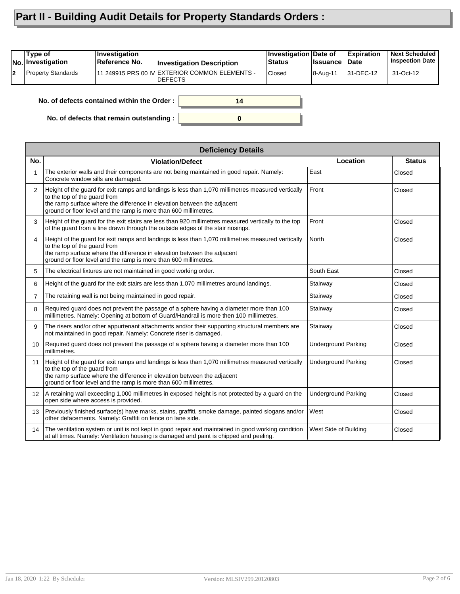## **Part II - Building Audit Details for Property Standards Orders :**

|    | Type of<br><b>No.</b> Investigation              | <b>Investigation</b><br>Reference No. | <b>Investigation Description</b>                                  | Investigation Date of<br><b>Status</b> | <b>Issuance</b> | <b>Expiration</b><br>∣Date | <b>Next Scheduled</b><br><b>Inspection Date</b> |
|----|--------------------------------------------------|---------------------------------------|-------------------------------------------------------------------|----------------------------------------|-----------------|----------------------------|-------------------------------------------------|
| l2 | <b>Property Standards</b>                        |                                       | 11 249915 PRS 00 IV EXTERIOR COMMON ELEMENTS -<br><b>IDEFECTS</b> | <b>Closed</b>                          | 8-Aug-11        | 31-DEC-12                  | 31-Oct-12                                       |
|    | No. of defects contained within the Order:<br>14 |                                       |                                                                   |                                        |                 |                            |                                                 |

**0**

**No. of defects contained within the Order :**

**No. of defects that remain outstanding :**

|                 | <b>Deficiency Details</b>                                                                                                                                                                                                                                                         |                            |               |  |  |  |  |
|-----------------|-----------------------------------------------------------------------------------------------------------------------------------------------------------------------------------------------------------------------------------------------------------------------------------|----------------------------|---------------|--|--|--|--|
| No.             | <b>Violation/Defect</b>                                                                                                                                                                                                                                                           | Location                   | <b>Status</b> |  |  |  |  |
| $\mathbf{1}$    | The exterior walls and their components are not being maintained in good repair. Namely:<br>Concrete window sills are damaged.                                                                                                                                                    | East                       | Closed        |  |  |  |  |
| $\overline{2}$  | Height of the guard for exit ramps and landings is less than 1,070 millimetres measured vertically<br>to the top of the quard from<br>the ramp surface where the difference in elevation between the adjacent<br>ground or floor level and the ramp is more than 600 millimetres. | Front                      | Closed        |  |  |  |  |
| 3               | Height of the guard for the exit stairs are less than 920 millimetres measured vertically to the top<br>of the guard from a line drawn through the outside edges of the stair nosings.                                                                                            | Front                      | Closed        |  |  |  |  |
| 4               | Height of the guard for exit ramps and landings is less than 1,070 millimetres measured vertically<br>to the top of the quard from<br>the ramp surface where the difference in elevation between the adjacent<br>ground or floor level and the ramp is more than 600 millimetres. | North                      | Closed        |  |  |  |  |
| 5               | The electrical fixtures are not maintained in good working order.                                                                                                                                                                                                                 | South East                 | Closed        |  |  |  |  |
| 6               | Height of the guard for the exit stairs are less than 1,070 millimetres around landings.                                                                                                                                                                                          | Stairway                   | Closed        |  |  |  |  |
| $\overline{7}$  | The retaining wall is not being maintained in good repair.                                                                                                                                                                                                                        | Stairway                   | Closed        |  |  |  |  |
| 8               | Required guard does not prevent the passage of a sphere having a diameter more than 100<br>millimetres. Namely: Opening at bottom of Guard/Handrail is more then 100 millimetres.                                                                                                 | Stairway                   | Closed        |  |  |  |  |
| 9               | The risers and/or other appurtenant attachments and/or their supporting structural members are<br>not maintained in good repair. Namely: Concrete riser is damaged.                                                                                                               | Stairway                   | Closed        |  |  |  |  |
| 10              | Required guard does not prevent the passage of a sphere having a diameter more than 100<br>millimetres.                                                                                                                                                                           | <b>Underground Parking</b> | Closed        |  |  |  |  |
| 11              | Height of the guard for exit ramps and landings is less than 1,070 millimetres measured vertically<br>to the top of the quard from<br>the ramp surface where the difference in elevation between the adjacent<br>ground or floor level and the ramp is more than 600 millimetres. | <b>Underground Parking</b> | Closed        |  |  |  |  |
| 12 <sup>2</sup> | A retaining wall exceeding 1,000 millimetres in exposed height is not protected by a guard on the<br>open side where access is provided.                                                                                                                                          | <b>Underground Parking</b> | Closed        |  |  |  |  |
| 13              | Previously finished surface(s) have marks, stains, graffiti, smoke damage, painted slogans and/or<br>other defacements. Namely: Graffiti on fence on lane side.                                                                                                                   | West                       | Closed        |  |  |  |  |
| 14              | The ventilation system or unit is not kept in good repair and maintained in good working condition<br>at all times. Namely: Ventilation housing is damaged and paint is chipped and peeling.                                                                                      | West Side of Building      | Closed        |  |  |  |  |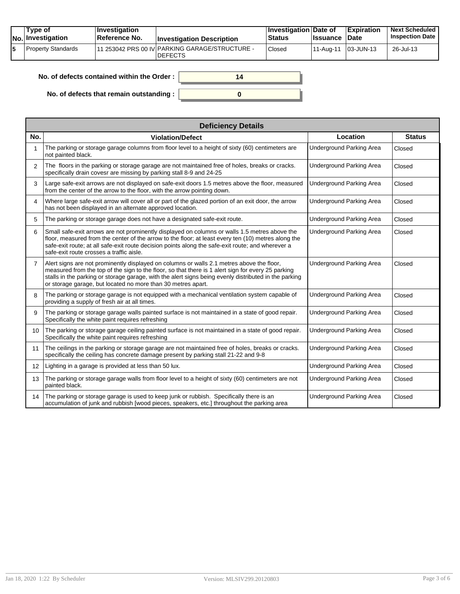|  | Tvpe of<br>$ No $ Investigation | <b>Investigation</b><br><b>∣Reference No.</b> | <b>Investigation Description</b>                                  | <b>Investigation Date of</b><br><b>Status</b> | <b>Issuance Date</b> | <b>Expiration</b> | <b>Next Scheduled</b><br><b>Inspection Date</b> |
|--|---------------------------------|-----------------------------------------------|-------------------------------------------------------------------|-----------------------------------------------|----------------------|-------------------|-------------------------------------------------|
|  | Property Standards              |                                               | 111 253042 PRS 00 IV PARKING GARAGE/STRUCTURE -<br><b>DEFECTS</b> | Closed                                        | ' 11-Aug-11          | $ 03 - JUN - 13 $ | 26-Jul-13                                       |

| No. of defects contained within the Order: | 14 |
|--------------------------------------------|----|
| No. of defects that remain outstanding:    |    |

|                   | <b>Deficiency Details</b>                                                                                                                                                                                                                                                                                                                                                |                                 |               |  |  |  |  |
|-------------------|--------------------------------------------------------------------------------------------------------------------------------------------------------------------------------------------------------------------------------------------------------------------------------------------------------------------------------------------------------------------------|---------------------------------|---------------|--|--|--|--|
| No.               | <b>Violation/Defect</b>                                                                                                                                                                                                                                                                                                                                                  | Location                        | <b>Status</b> |  |  |  |  |
| 1                 | The parking or storage garage columns from floor level to a height of sixty (60) centimeters are<br>not painted black.                                                                                                                                                                                                                                                   | <b>Underground Parking Area</b> | Closed        |  |  |  |  |
| $\overline{2}$    | The floors in the parking or storage garage are not maintained free of holes, breaks or cracks.<br>specifically drain covesr are missing by parking stall 8-9 and 24-25                                                                                                                                                                                                  | <b>Underground Parking Area</b> | Closed        |  |  |  |  |
| 3                 | Large safe-exit arrows are not displayed on safe-exit doors 1.5 metres above the floor, measured<br>from the center of the arrow to the floor, with the arrow pointing down.                                                                                                                                                                                             | <b>Underground Parking Area</b> | Closed        |  |  |  |  |
| 4                 | Where large safe-exit arrow will cover all or part of the glazed portion of an exit door, the arrow<br>has not been displayed in an alternate approved location.                                                                                                                                                                                                         | <b>Underground Parking Area</b> | Closed        |  |  |  |  |
| 5                 | The parking or storage garage does not have a designated safe-exit route.                                                                                                                                                                                                                                                                                                | Underground Parking Area        | Closed        |  |  |  |  |
| 6                 | Small safe-exit arrows are not prominently displayed on columns or walls 1.5 metres above the<br>floor, measured from the center of the arrow to the floor; at least every ten (10) metres along the<br>safe-exit route; at all safe-exit route decision points along the safe-exit route; and wherever a<br>safe-exit route crosses a traffic aisle.                    | <b>Underground Parking Area</b> | Closed        |  |  |  |  |
| $\overline{7}$    | Alert signs are not prominently displayed on columns or walls 2.1 metres above the floor,<br>measured from the top of the sign to the floor, so that there is 1 alert sign for every 25 parking<br>stalls in the parking or storage garage, with the alert signs being evenly distributed in the parking<br>or storage garage, but located no more than 30 metres apart. | Underground Parking Area        | Closed        |  |  |  |  |
| 8                 | The parking or storage garage is not equipped with a mechanical ventilation system capable of<br>providing a supply of fresh air at all times.                                                                                                                                                                                                                           | <b>Underground Parking Area</b> | Closed        |  |  |  |  |
| 9                 | The parking or storage garage walls painted surface is not maintained in a state of good repair.<br>Specifically the white paint requires refreshing                                                                                                                                                                                                                     | <b>Underground Parking Area</b> | Closed        |  |  |  |  |
| 10                | The parking or storage garage ceiling painted surface is not maintained in a state of good repair.<br>Specifically the white paint requires refreshing                                                                                                                                                                                                                   | <b>Underground Parking Area</b> | Closed        |  |  |  |  |
| 11                | The ceilings in the parking or storage garage are not maintained free of holes, breaks or cracks.<br>specifically the ceiling has concrete damage present by parking stall 21-22 and 9-8                                                                                                                                                                                 | <b>Underground Parking Area</b> | Closed        |  |  |  |  |
| $12 \overline{ }$ | Lighting in a garage is provided at less than 50 lux.                                                                                                                                                                                                                                                                                                                    | <b>Underground Parking Area</b> | Closed        |  |  |  |  |
| 13                | The parking or storage garage walls from floor level to a height of sixty (60) centimeters are not<br>painted black.                                                                                                                                                                                                                                                     | <b>Underground Parking Area</b> | Closed        |  |  |  |  |
| 14                | The parking or storage garage is used to keep junk or rubbish. Specifically there is an<br>accumulation of junk and rubbish [wood pieces, speakers, etc.] throughout the parking area                                                                                                                                                                                    | <b>Underground Parking Area</b> | Closed        |  |  |  |  |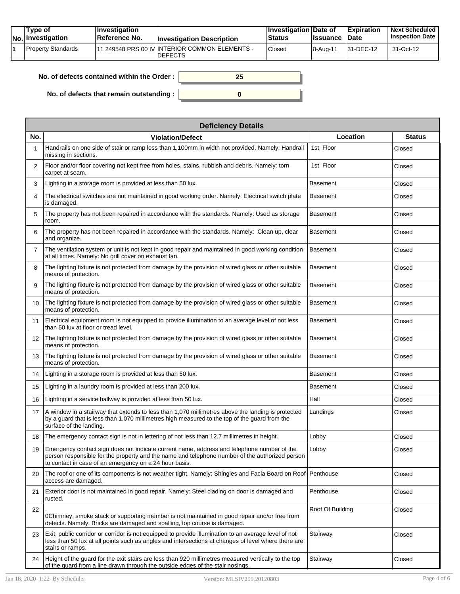| Tvpe of<br><b>No. Investigation</b> | <b>Investigation</b><br>Reference No. | <b>Investigation Description</b>                                  | <b>Investigation Date of</b><br>Status | <b>Issuance Date</b> | Expiration | <b>Next Scheduled</b><br><b>Inspection Date</b> |
|-------------------------------------|---------------------------------------|-------------------------------------------------------------------|----------------------------------------|----------------------|------------|-------------------------------------------------|
| Property Standards                  |                                       | 111 249548 PRS 00 IV INTERIOR COMMON ELEMENTS -<br><b>DEFECTS</b> | Closed                                 | 8-Aug-11             | 31-DEC-12  | 31-Oct-12                                       |

**0**

| No. of defects contained within the Order : $\vert$ |  |
|-----------------------------------------------------|--|
|                                                     |  |

**No. of defects that remain outstanding :**

|     | <b>Deficiency Details</b>                                                                                                                                                                                                                              |                  |               |  |  |  |  |  |
|-----|--------------------------------------------------------------------------------------------------------------------------------------------------------------------------------------------------------------------------------------------------------|------------------|---------------|--|--|--|--|--|
| No. | <b>Violation/Defect</b>                                                                                                                                                                                                                                | Location         | <b>Status</b> |  |  |  |  |  |
|     | Handrails on one side of stair or ramp less than 1,100mm in width not provided. Namely: Handrail<br>missing in sections.                                                                                                                               | 1st Floor        | Closed        |  |  |  |  |  |
| 2   | Floor and/or floor covering not kept free from holes, stains, rubbish and debris. Namely: torn<br>carpet at seam.                                                                                                                                      | 1st Floor        | Closed        |  |  |  |  |  |
| 3   | Lighting in a storage room is provided at less than 50 lux.                                                                                                                                                                                            | Basement         | Closed        |  |  |  |  |  |
| 4   | The electrical switches are not maintained in good working order. Namely: Electrical switch plate<br>is damaged.                                                                                                                                       | <b>Basement</b>  | Closed        |  |  |  |  |  |
| 5   | The property has not been repaired in accordance with the standards. Namely: Used as storage<br>room.                                                                                                                                                  | Basement         | Closed        |  |  |  |  |  |
| 6   | The property has not been repaired in accordance with the standards. Namely: Clean up, clear<br>and organize.                                                                                                                                          | <b>Basement</b>  | Closed        |  |  |  |  |  |
| 7   | The ventilation system or unit is not kept in good repair and maintained in good working condition<br>at all times. Namely: No grill cover on exhaust fan.                                                                                             | <b>Basement</b>  | Closed        |  |  |  |  |  |
| 8   | The lighting fixture is not protected from damage by the provision of wired glass or other suitable<br>means of protection.                                                                                                                            | <b>Basement</b>  | Closed        |  |  |  |  |  |
| 9   | The lighting fixture is not protected from damage by the provision of wired glass or other suitable<br>means of protection.                                                                                                                            | <b>Basement</b>  | Closed        |  |  |  |  |  |
| 10  | The lighting fixture is not protected from damage by the provision of wired glass or other suitable<br>means of protection.                                                                                                                            | <b>Basement</b>  | Closed        |  |  |  |  |  |
| 11  | Electrical equipment room is not equipped to provide illumination to an average level of not less<br>than 50 lux at floor or tread level.                                                                                                              | Basement         | Closed        |  |  |  |  |  |
| 12  | The lighting fixture is not protected from damage by the provision of wired glass or other suitable<br>means of protection.                                                                                                                            | <b>Basement</b>  | Closed        |  |  |  |  |  |
| 13  | The lighting fixture is not protected from damage by the provision of wired glass or other suitable<br>means of protection.                                                                                                                            | <b>Basement</b>  | Closed        |  |  |  |  |  |
| 14  | Lighting in a storage room is provided at less than 50 lux.                                                                                                                                                                                            | Basement         | Closed        |  |  |  |  |  |
| 15  | Lighting in a laundry room is provided at less than 200 lux.                                                                                                                                                                                           | Basement         | Closed        |  |  |  |  |  |
| 16  | Lighting in a service hallway is provided at less than 50 lux.                                                                                                                                                                                         | Hall             | Closed        |  |  |  |  |  |
| 17  | A window in a stairway that extends to less than 1,070 millimetres above the landing is protected<br>by a guard that is less than 1,070 millimetres high measured to the top of the guard from the<br>surface of the landing.                          | Landings         | Closed        |  |  |  |  |  |
| 18  | The emergency contact sign is not in lettering of not less than 12.7 millimetres in height.                                                                                                                                                            | Lobby            | Closed        |  |  |  |  |  |
| 19  | Emergency contact sign does not indicate current name, address and telephone number of the<br>person responsible for the property and the name and telephone number of the authorized person<br>to contact in case of an emergency on a 24 hour basis. | Lobby            | Closed        |  |  |  |  |  |
| 20  | The roof or one of its components is not weather tight. Namely: Shingles and Facia Board on Roof   Penthouse<br>access are damaged.                                                                                                                    |                  | Closed        |  |  |  |  |  |
| 21  | Exterior door is not maintained in good repair. Namely: Steel clading on door is damaged and<br>rusted.                                                                                                                                                | Penthouse        | Closed        |  |  |  |  |  |
| 22  | 0Chimney, smoke stack or supporting member is not maintained in good repair and/or free from<br>defects. Namely: Bricks are damaged and spalling, top course is damaged.                                                                               | Roof Of Building | Closed        |  |  |  |  |  |
| 23  | Exit, public corridor or corridor is not equipped to provide illumination to an average level of not<br>less than 50 lux at all points such as angles and intersections at changes of level where there are<br>stairs or ramps.                        | Stairway         | Closed        |  |  |  |  |  |
| 24  | Height of the guard for the exit stairs are less than 920 millimetres measured vertically to the top<br>of the guard from a line drawn through the outside edges of the stair nosings.                                                                 | Stairway         | Closed        |  |  |  |  |  |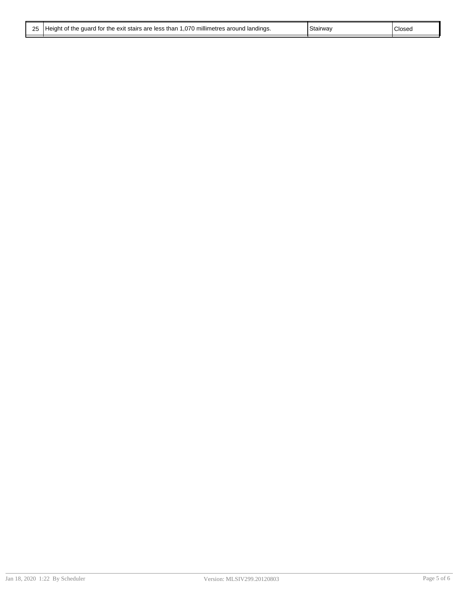|  | 25   Height of the guard for the exit stairs are less than 1,070 millimetres around landings. | Stairway | Closeg |
|--|-----------------------------------------------------------------------------------------------|----------|--------|
|--|-----------------------------------------------------------------------------------------------|----------|--------|